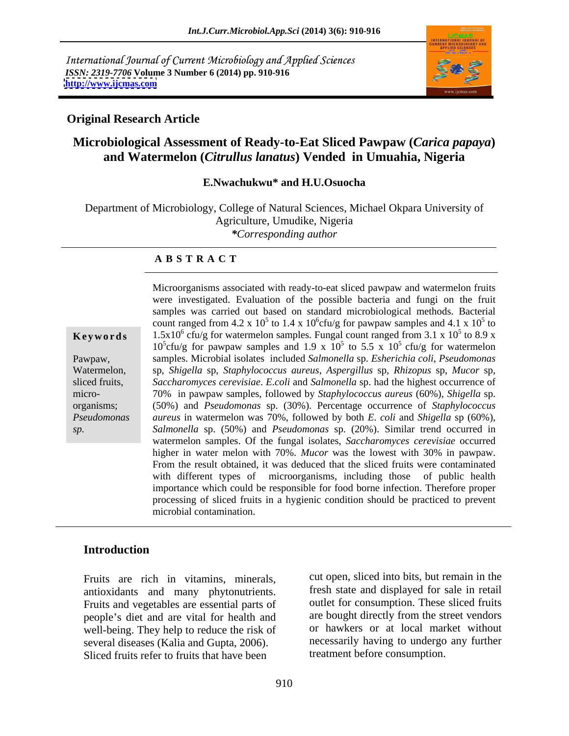International Journal of Current Microbiology and Applied Sciences *ISSN: 2319-7706* **Volume 3 Number 6 (2014) pp. 910-916 <http://www.ijcmas.com>**



#### **Original Research Article**

# **Microbiological Assessment of Ready-to-Eat Sliced Pawpaw (***Carica papaya***) and Watermelon (***Citrullus lanatus***) Vended in Umuahia, Nigeria**

#### **E.Nwachukwu\* and H.U.Osuocha**

Department of Microbiology, College of Natural Sciences, Michael Okpara University of Agriculture, Umudike, Nigeria *\*Corresponding author* 

#### **A B S T R A C T**

**Keywords** 1.5x10<sup>6</sup> cfu/g for watermelon samples. Fungal count ranged from 3.1 x 10<sup>5</sup> to 8.9 x Pawpaw, samples. Microbial isolates included *Salmonella* sp. *Esherichia coli*, *Pseudomonas* Watermelon, sp, *Shigella* sp, *Staphylococcus aureus*, *Aspergillus* sp, *Rhizopus* sp, *Mucor* sp, sliced fruits, *Saccharomyces cerevisiae*. *E*.*coli* and *Salmonella* sp. had the highest occurrence of micro- 70% in pawpaw samples, followed by *Staphylococcus aureus* (60%), *Shigella* sp. organisms; (50%) and *Pseudomonas* sp. (30%). Percentage occurrence of *Staphylococcus Pseudomonas aureus* in watermelon was 70%, followed by both *E*. *coli* and *Shigella* sp (60%), *sp. Salmonella* sp. (50%) and *Pseudomonas* sp. (20%). Similar trend occurred in Microorganisms associated with ready-to-eat sliced pawpaw and watermelon fruits were investigated. Evaluation of the possible bacteria and fungi on the fruit samples was carried out based on standard microbiological methods. Bacterial count ranged from 4.2 x 10<sup>5</sup> to 1.4 x 10<sup>6</sup>cfu/g for pawpaw samples and 4.1 x 10<sup>5</sup> to  $5<sub>to</sub>$ to  $5\text{ to }90$  y to 8.9 x  $10^5$ cfu/g for pawpaw samples and 1.9 x  $10^5$  to 5.5 x  $10^5$  cfu/g for watermelon  $5 \text{ cfu/g}$  for watermelon watermelon samples. Of the fungal isolates, *Saccharomyces cerevisiae* occurred higher in water melon with 70%. *Mucor* was the lowest with 30% in pawpaw. From the result obtained, it was deduced that the sliced fruits were contaminated with different types of microorganisms, including those of public health importance which could be responsible for food borne infection. Therefore proper processing of sliced fruits in a hygienic condition should be practiced to prevent microbial contamination.

#### **Introduction**

Fruits are rich in vitamins, minerals, antioxidants and many phytonutrients. Fruits and vegetables are essential parts of people's diet and are vital for health and well-being. They help to reduce the risk of several diseases (Kalia and Gupta, 2006). Sliced fruits refer to fruits that have been

cut open, sliced into bits, but remain in the fresh state and displayed for sale in retail outlet for consumption. These sliced fruits are bought directly from the street vendors or hawkers or at local market without necessarily having to undergo any further treatment before consumption.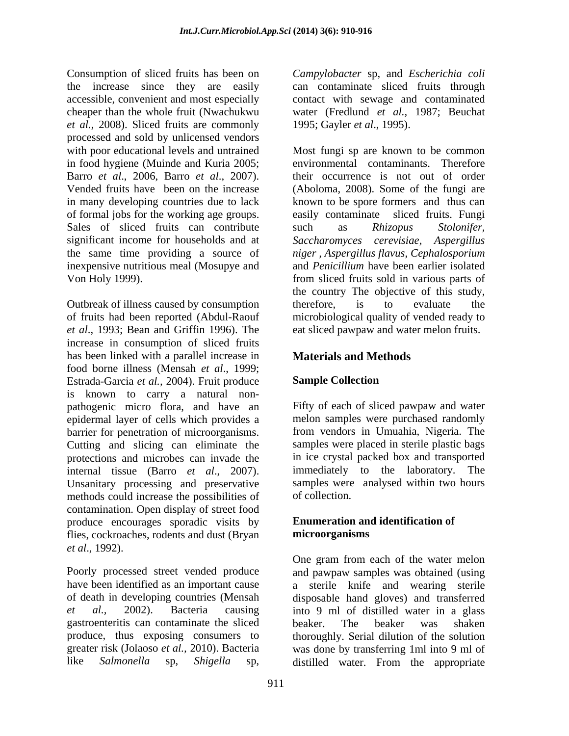Consumption of sliced fruits has been on Campylobacter sp, and Escherichia coli the increase since they are easily can contaminate sliced fruits through accessible, convenient and most especially cheaper than the whole fruit (Nwachukwu water (Fredlund *et al.,* 1987; Beuchat *et al.,* 2008). Sliced fruits are commonly processed and sold by unlicensed vendors with poor educational levels and untrained Most fungi sp are known to be common in food hygiene (Muinde and Kuria 2005; Barro *et al*., 2006, Barro *et al*., 2007). their occurrence is not out of order Vended fruits have been on the increase (Aboloma, 2008). Some of the fungi are in many developing countries due to lack hnown to be spore formers and thus can of formal jobs for the working age groups. easily contaminate sliced fruits. Fungi Sales of sliced fruits can contribute such as Rhizopus Stolonifer, significant income for households and at *Saccharomyces cerevisiae, Aspergillus*  the same time providing a source of *niger , Aspergillus flavus*, *Cephalosporium* inexpensive nutritious meal (Mosupye and Von Holy 1999). from sliced fruits sold in various parts of

Outbreak of illness caused by consumption therefore, is to evaluate the of fruits had been reported (Abdul-Raouf microbiological quality of vended ready to *et al*., 1993; Bean and Griffin 1996). The eat sliced pawpaw and water melon fruits. increase in consumption of sliced fruits has been linked with a parallel increase in **Materials and Methods** food borne illness (Mensah *et al*., 1999; Estrada-Garcia *et al.,* 2004). Fruit produce is known to carry a natural non pathogenic micro flora, and have an epidermal layer of cells which provides a barrier for penetration of microorganisms. Cutting and slicing can eliminate the samples were placed in sterile plastic bags protections and microbes can invade the internal tissue (Barro *et al*., 2007). Unsanitary processing and preservative samples were<br>methods could increase the possibilities of of collection. methods could increase the possibilities of contamination. Open display of street food produce encourages sporadic visits by flies, cockroaches, rodents and dust (Bryan microorganisms *et al*., 1992). Comparison of siles from the best campy observe sp, and *Escherichia* spin Form and one comparison of the space and one colicinates accessible, contain the space of the space of the space of the space of the space of the s

Poorly processed street vended produce and pawpaw samples was obtained (using have been identified as an important cause a sterile knife and wearing sterile of death in developing countries (Mensah disposable hand gloves) and transferred *et al.,* 2002). Bacteria causing into 9 ml of distilled water in a glass gastroenteritis can contaminate the sliced produce, thus exposing consumers to greater risk (Jolaoso *et al.,* 2010). Bacteria was done by transferring 1ml into 9 ml of

contact with sewage and contaminated 1995; Gayler *et al*., 1995).

environmental contaminants. Therefore such as *Rhizopus Stolonifer,* and *Penicillium* have been earlier isolated the country The objective of this study, therefore, is to evaluate the

# **Materials and Methods**

# **Sample Collection**

Fifty of each of sliced pawpaw and water melon samples were purchased randomly from vendors in Umuahia, Nigeria. The in ice crystal packed box and transported immediately to the laboratory. The samples were analysed within two hours of collection.

### **Enumeration and identification of microorganisms**

One gram from each of the water melon beaker. The beaker was shaken thoroughly. Serial dilution of the solution distilled water. From the appropriate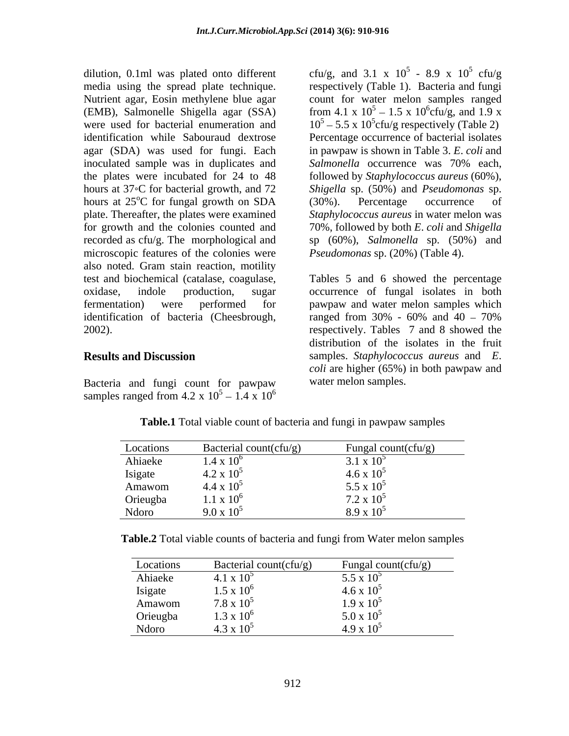media using the spread plate technique. Nutrient agar, Eosin methylene blue agar count for water melon samples ranged (EMB), Salmonelle Shigella agar (SSA) from 4.1 x  $10^5 - 1.5$  x  $10^6$ cfu/g, and 1.9 x were used for bacterial enumeration and  $10^5 - 5.5 \times 10^5$  cfu/g respectively (Table 2) identification while Sabouraud dextrose Percentage occurrence of bacterial isolates agar (SDA) was used for fungi. Each in pawpaw is shown in Table 3. *E*. *coli* and inoculated sample was in duplicates and Salmonella occurrence was 70% each, the plates were incubated for 24 to 48 followed by *Staphylococcus aureus* (60%), hours at 37 C for bacterial growth, and 72 *Shigella* sp. (50%) and *Pseudomonas* sp. hours at  $25^{\circ}$ C for fungal growth on SDA  $(30\%)$ . Percentage occurrence of plate. Thereafter, the plates were examined *Staphylococcus aureus* in water melon was for growth and the colonies counted and 70%, followed by both *E*. *coli* and *Shigella* recorded as cfu/g. The morphological and microscopic features of the colonies were also noted. Gram stain reaction, motility identification of bacteria (Cheesbrough, ranged from 30% - 60% and 40 - 70%

Bacteria and fungi count for pawpaw samples ranged from 4.2 x  $10^5 - 1.4 \times 10^6$  $\frac{5}{1.4}$   $\frac{10^6}{10^6}$  $1.4 \times 10^6$  $6\,$ 

dilution, 0.1ml was plated onto different cfu/g, and 3.1 x  $10^5$  - 8.9 x  $10^5$  cfu/g  $^{\circ}$ C for fungal growth on SDA (30%). Percentage occurrence of  $-8.9 \times 10^5 \text{ cftu/g}$  $5 \text{ of } \alpha$ cfu/g respectively (Table 1). Bacteria and fungi  $6\text{cm/s}$  and  $1.0 \text{ y}$ cfu/g, and  $1.9 \text{ x}$ *Salmonella* occurrence was 70% each, (30%). Percentage occurrence of sp (60%), *Salmonella* sp. (50%) and *Pseudomonas* sp. (20%) (Table 4).

test and biochemical (catalase, coagulase, Tables 5 and 6 showed the percentage oxidase, indole production, sugar occurrence of fungal isolates in both fermentation) were performed for pawpaw and water melon samples which 2002). respectively. Tables 7 and 8 showed the **Results and Discussion** samples. *Staphylococcus aureus* and *E*. ranged from  $30\%$  -  $60\%$  and  $40 - 70\%$ distribution of the isolates in the fruit *coli* are higher (65%) in both pawpaw and water melon samples.

| Locations | Bacterial count(cfu/g) | Fungal count( $cfu/g$ )           |
|-----------|------------------------|-----------------------------------|
| Ahiaeke   | $1.4 \times 10^{6}$    | $3.1 \times 10^{-7}$              |
| Isigate   | $4.2 \times 10^5$      | $4.6 \times 10^{5}$               |
| Amawom    | $4.4 \times 10^5$      |                                   |
| Orieugba  | $1.1 \times 10^6$      | $5.5 \times 10^5$<br>7.2 x $10^5$ |
| Ndoro     | $9.0 \times 10^5$      | $8.9 \times 10^5$                 |

**Table.1** Total viable count of bacteria and fungi in pawpaw samples

**Table.2** Total viable counts of bacteria and fungi from Water melon samples

| Locations | Bacterial count(cfu/g) | Fungal count(cfu/g) |
|-----------|------------------------|---------------------|
| Ahiaeke   | $4.1 \times 10^5$      | $5.5 \times 10^{5}$ |
| Isigate   | $1.5 \times 10^{6}$    | $4.6 \times 10^{5}$ |
| Amawom    | $7.8 \times 10^5$      | $1.9 \times 10^5$   |
| Orieugba  | $1.3 \times 10^{6}$    | $5.0 \times 10^5$   |
| Ndoro     | $4.3 \times 10^5$      | $4.9 \times 10^{5}$ |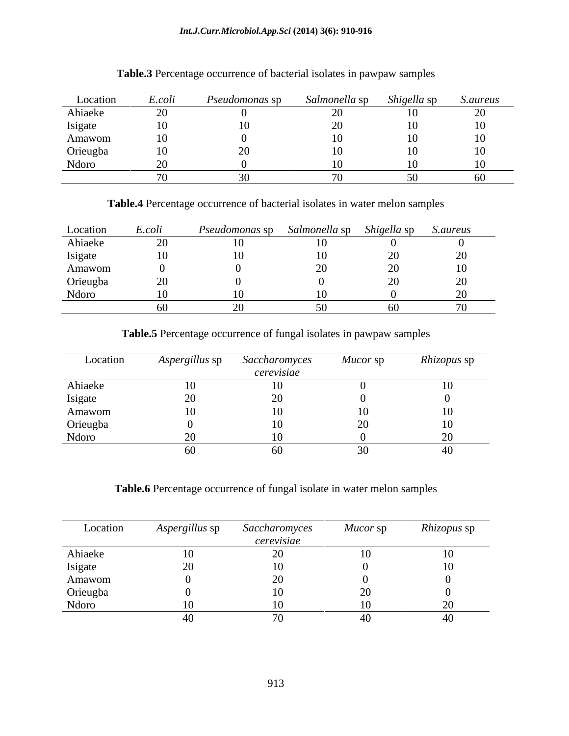#### *Int.J.Curr.Microbiol.App.Sci* **(2014) 3(6): 910-916**

| Location | E.COL | <i>Pseudomonas</i> sp | salmonella sp | <i>Shigella</i> sp | <i>S.aureus</i> |
|----------|-------|-----------------------|---------------|--------------------|-----------------|
| Ahiaeke  |       |                       |               | 10 <sup>1</sup>    | $\sim$ $\sim$   |
| Isigate  |       |                       |               | 10 <sup>1</sup>    |                 |
| Amawom   |       |                       |               |                    |                 |
| Orieugba |       |                       |               |                    |                 |
| Ndoro    |       |                       |               |                    |                 |
|          |       |                       |               |                    | VV.             |

## **Table.3** Percentage occurrence of bacterial isolates in pawpaw samples

**Table.4** Percentage occurrence of bacterial isolates in water melon samples

| Location | E.coli | Pseudomonas sp | Salmonella sp | <i>Shigella sp</i> | S.aureus |
|----------|--------|----------------|---------------|--------------------|----------|
| Ahiaeke  | ້      |                |               |                    |          |
| Isigate  |        |                |               |                    |          |
| Amawom   |        |                |               |                    |          |
| Orieugba |        |                |               |                    |          |
| Ndoro    |        |                |               |                    |          |
|          |        |                |               |                    |          |

**Table.5** Percentage occurrence of fungal isolates in pawpaw samples

| Location | $\sim$ $\sim$ $\sim$<br>Aspergillus sp | Saccharomyces | Mucor sp | <i>Rhizopus</i> sp |
|----------|----------------------------------------|---------------|----------|--------------------|
|          |                                        | cerevisiae    |          |                    |
| Ahiaeke  | 10                                     |               |          |                    |
| Isigate  |                                        |               |          |                    |
| Amawom   | 10                                     |               |          |                    |
| Orieugba |                                        |               |          |                    |
| Ndoro    |                                        |               |          |                    |
|          | -60                                    |               |          |                    |

**Table.6** Percentage occurrence of fungal isolate in water melon samples

| Location | A <i>spergillus</i> sp | Saccharomyces  | Mucor sp | <i>Rhizopus</i> sp |
|----------|------------------------|----------------|----------|--------------------|
|          |                        | cerevisiae     |          |                    |
| Ahiaeke  | ΙV                     |                |          |                    |
| Isigate  |                        |                |          |                    |
| Amawom   |                        |                |          |                    |
| Orieugba |                        |                |          |                    |
| Ndoro    |                        |                |          |                    |
|          |                        | $\cdot$ $\sim$ |          |                    |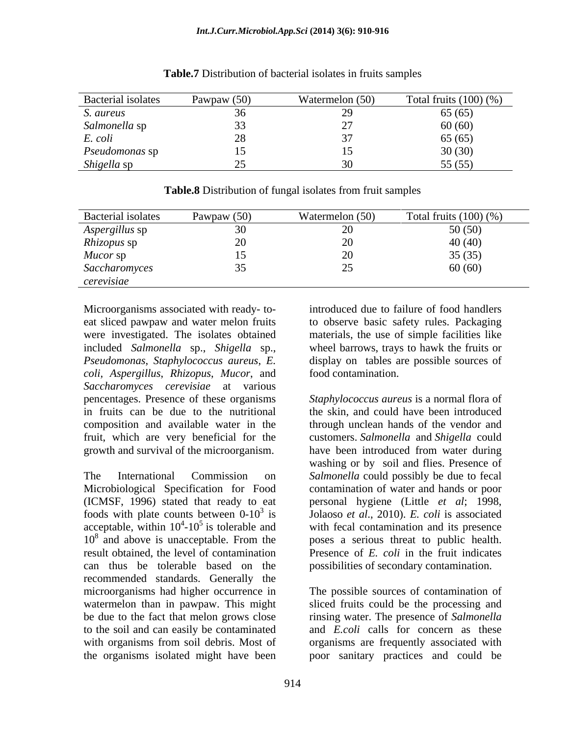| Bacterial isolates | Pawpaw $(50)$ | Watermelon (50) | Total fruits $(100)(%$ |
|--------------------|---------------|-----------------|------------------------|
| S. aureus          |               |                 | 65(65)                 |
| Salmonella sp      |               |                 | 60(60)                 |
| E. coli            |               |                 | 65 (65)                |
| Pseudomonas sp     |               |                 | 30(30)                 |
| Shigella sp        |               |                 | 55(55)                 |

**Table.7** Distribution of bacterial isolates in fruits samples

| <b>Bacterial</b> isolates | Pawpaw $(50)$ | Watermelon (50)          | Total fruits $(100)(\%)$ |
|---------------------------|---------------|--------------------------|--------------------------|
| Aspergillus sp            |               |                          | 50 (50)                  |
| Rhizopus sp               |               |                          | 40 (40)                  |
| Mucor sp                  |               |                          | 35(35)                   |
| Saccharomyces             |               | $\overline{\phantom{m}}$ | 60(60)                   |
| cerevisiae                |               |                          |                          |

**Table.8** Distribution of fungal isolates from fruit samples

Microorganisms associated with ready- to eat sliced pawpaw and water melon fruits to observe basic safety rules. Packaging were investigated. The isolates obtained materials, the use of simple facilities like included *Salmonella* sp., *Shigella* sp., wheel barrows, trays to hawk the fruits or *Pseudomonas*, *Staphylococcus aureus*, *E. coli, Aspergillus*, *Rhizopus*, *Mucor*, and *Saccharomyces cerevisiae* at various pencentages. Presence of these organisms *Staphylococcus aureus* is a normal flora of in fruits can be due to the nutritional the skin, and could have been introduced composition and available water in the through unclean hands of the vendor and fruit, which are very beneficial for the customers. *Salmonella* and *Shigella* could growth and survival of the microorganism. have been introduced from water during

The International Commission on *Salmonella* could possibly be due to fecal Microbiological Specification for Food contamination of water and hands or poor (ICMSF, 1996) stated that ready to eat personal hygiene (Little *et al*; 1998, foods with plate counts between  $0-10^3$  is  $\qquad$  Jolaoso *et al.*, 2010). *E. coli* is associated acceptable, within  $10^4$ - $10^5$  is tolerable and with fecal contamination and its presence 10<sup>8</sup> and above is unacceptable. From the poses a serious threat to public health. result obtained, the level of contamination Presence of *E. coli* in the fruit indicates can thus be tolerable based on the possibilities of secondary contamination. recommended standards. Generally the microorganisms had higher occurrence in watermelon than in pawpaw. This might sliced fruits could be the processing and be due to the fact that melon grows close rinsing water. The presence of *Salmonella* to the soil and can easily be contaminated and *E.coli* calls for concern as these with organisms from soil debris. Most of organisms are frequently associated with the organisms isolated might have been poor sanitary practices and could be

introduced due to failure of food handlers display on tables are possible sources of food contamination.

washing or by soil and flies. Presence of

The possible sources of contamination of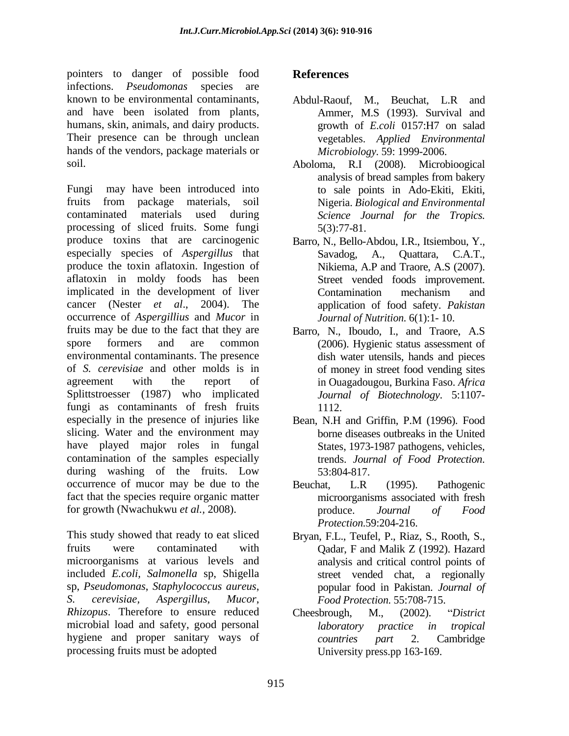pointers to danger of possible food References infections. *Pseudomonas* species are known to be environmental contaminants, Abdul-Raouf, M., Beuchat, L.R and and have been isolated from plants, humans, skin, animals, and dairy products. Their presence can be through unclean hands of the vendors, package materials or

Fungi may have been introduced into to sale points in Ado-Ekiti, Ekiti, fruits from package materials, soil Nigeria. Biological and Environmental contaminated materials used during *Science Journal for the Tropics.* processing of sliced fruits. Some fungi 5(3):77-81. produce toxins that are carcinogenic especially species of *Aspergillus* that Savadog, A., Ouattara, C.A.T., produce the toxin aflatoxin. Ingestion of aflatoxin in moldy foods has been implicated in the development of liver<br>
Contamination mechanism and cancer (Nester *et al*., 2004). The occurrence of *Aspergillius* and *Mucor* in fruits may be due to the fact that they are Barro, N., Iboudo, I., and Traore, A.S spore formers and are common (2006). Hygienic status assessment of environmental contaminants. The presence of *S. cerevisiae* and other molds is in agreement with the report of in Ouagadougou, Burkina Faso. *Africa* Splittstroesser (1987) who implicated fungi as contaminants of fresh fruits 1112. especially in the presence of injuries like Bean, N.H and Griffin, P.M (1996). Food slicing. Water and the environment may have played major roles in fungal contamination of the samples especially trends. Journal of Food Protection. during washing of the fruits. Low 53:804-817. occurrence of mucor may be due to the Beuchat, L.R (1995). Pathogenic fact that the species require organic matter for growth (Nwachukwu *et al.,* 2008).

This study showed that ready to eat sliced Bryan, F.L., Teufel, P., Riaz, S., Rooth, S., fruits were contaminated with Qadar, F and Malik Z (1992). Hazard microorganisms at various levels and included *E.coli, Salmonella* sp, Shigella street vended chat, a regionally sp, *Pseudomonas*, *Staphylococcus aureus*, *S. cerevisiae, Aspergillus*, *Mucor*, *Food Protection*. 55:708-715. *Rhizopus*. Therefore to ensure reduced Cheesbrough, M., (2002). "District microbial load and safety, good personal *laboratory practice in tropical* hygiene and proper sanitary ways of countries part 2. Cambridge processing fruits must be adopted

# **References**

- Abdul-Raouf, M., Beuchat, L.R and Ammer, M.S (1993). Survival and growth of *E.coli* 0157:H7 on salad vegetables. *Applied Environmental Microbiology.* 59: 1999-2006.
- soil. Aboloma, R.I (2008). Microbioogical analysis of bread samples from bakery Nigeria. *Biological and Environmental*  5(3):77-81.
	- Barro, N., Bello-Abdou, I.R., Itsiembou, Y., Savadog, A., Quattara, C.A.T., Nikiema, A.P and Traore, A.S (2007). Street vended foods improvement. Contamination mechanism and application of food safety. *Pakistan Journal of Nutrition.* 6(1):1- 10.
	- dish water utensils, hands and pieces of money in street food vending sites *Journal of Biotechnology*. 5:1107- 1112.
	- Bean, N.H and Griffin, P.M (1996). Food borne diseases outbreaks in the United States, 1973-1987 pathogens, vehicles, trends. *Journal of Food Protection*. 53:804-817.
	- Beuchat, L.R (1995). Pathogenic microorganisms associated with fresh produce. *Journal of Food Protection*.59:204-216.
	- analysis and critical control points of popular food in Pakistan. *Journal of*
	- Cheesbrough, M., (2002). *District laboratory practice in tropical countries part* 2. Cambridge University press.pp 163-169.